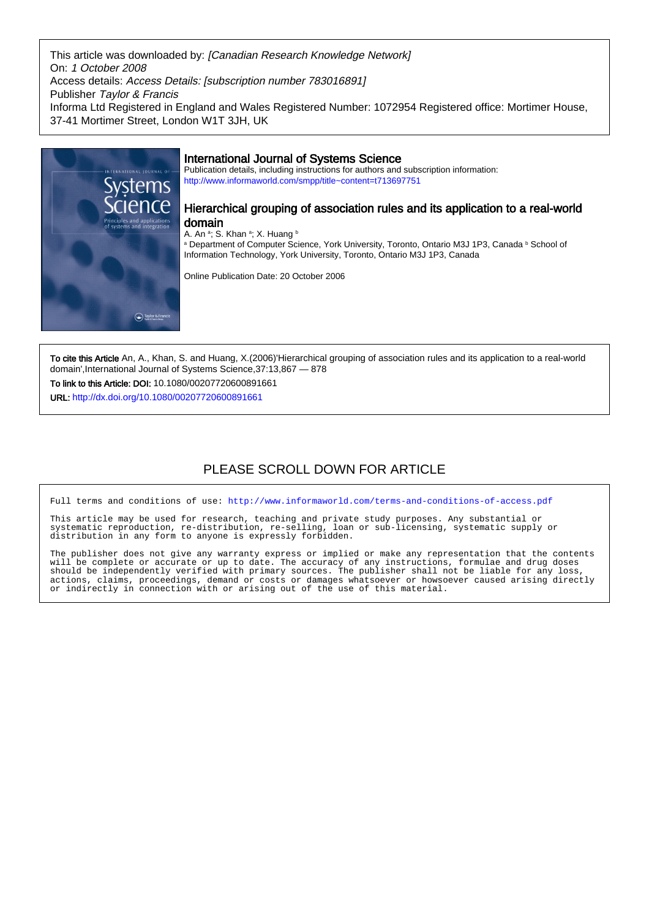This article was downloaded by: [Canadian Research Knowledge Network] On: 1 October 2008 Access details: Access Details: [subscription number 783016891] Publisher Taylor & Francis Informa Ltd Registered in England and Wales Registered Number: 1072954 Registered office: Mortimer House, 37-41 Mortimer Street, London W1T 3JH, UK



## International Journal of Systems Science

Publication details, including instructions for authors and subscription information: <http://www.informaworld.com/smpp/title~content=t713697751>

Hierarchical grouping of association rules and its application to a real-world

a Department of Computer Science, York University, Toronto, Ontario M3J 1P3, Canada b School of Information Technology, York University, Toronto, Ontario M3J 1P3, Canada

Online Publication Date: 20 October 2006

To cite this Article An, A., Khan, S. and Huang, X.(2006)'Hierarchical grouping of association rules and its application to a real-world domain',International Journal of Systems Science,37:13,867 — 878

To link to this Article: DOI: 10.1080/00207720600891661 URL: <http://dx.doi.org/10.1080/00207720600891661>

## PLEASE SCROLL DOWN FOR ARTICLE

Full terms and conditions of use:<http://www.informaworld.com/terms-and-conditions-of-access.pdf>

This article may be used for research, teaching and private study purposes. Any substantial or systematic reproduction, re-distribution, re-selling, loan or sub-licensing, systematic supply or distribution in any form to anyone is expressly forbidden.

The publisher does not give any warranty express or implied or make any representation that the contents will be complete or accurate or up to date. The accuracy of any instructions, formulae and drug doses should be independently verified with primary sources. The publisher shall not be liable for any loss, actions, claims, proceedings, demand or costs or damages whatsoever or howsoever caused arising directly or indirectly in connection with or arising out of the use of this material.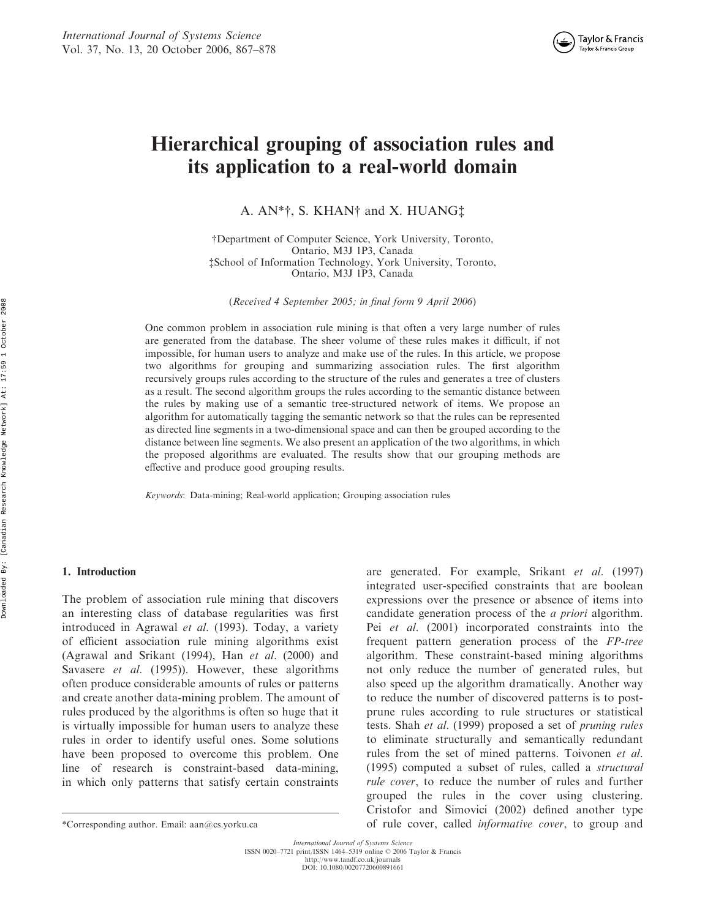# Hierarchical grouping of association rules and its application to a real-world domain

A. AN\*†, S. KHAN† and X. HUANG‡

{Department of Computer Science, York University, Toronto, Ontario, M3J 1P3, Canada zSchool of Information Technology, York University, Toronto, Ontario, M3J 1P3, Canada

(Received 4 September 2005; in final form 9 April 2006)

One common problem in association rule mining is that often a very large number of rules are generated from the database. The sheer volume of these rules makes it difficult, if not impossible, for human users to analyze and make use of the rules. In this article, we propose two algorithms for grouping and summarizing association rules. The first algorithm recursively groups rules according to the structure of the rules and generates a tree of clusters as a result. The second algorithm groups the rules according to the semantic distance between the rules by making use of a semantic tree-structured network of items. We propose an algorithm for automatically tagging the semantic network so that the rules can be represented as directed line segments in a two-dimensional space and can then be grouped according to the distance between line segments. We also present an application of the two algorithms, in which the proposed algorithms are evaluated. The results show that our grouping methods are effective and produce good grouping results.

Keywords: Data-mining; Real-world application; Grouping association rules

#### 1. Introduction

The problem of association rule mining that discovers an interesting class of database regularities was first introduced in Agrawal et al. (1993). Today, a variety of efficient association rule mining algorithms exist (Agrawal and Srikant (1994), Han et al. (2000) and Savasere *et al.* (1995)). However, these algorithms often produce considerable amounts of rules or patterns and create another data-mining problem. The amount of rules produced by the algorithms is often so huge that it is virtually impossible for human users to analyze these rules in order to identify useful ones. Some solutions have been proposed to overcome this problem. One line of research is constraint-based data-mining, in which only patterns that satisfy certain constraints

are generated. For example, Srikant et al. (1997) integrated user-specified constraints that are boolean expressions over the presence or absence of items into candidate generation process of the a priori algorithm. Pei *et al.* (2001) incorporated constraints into the frequent pattern generation process of the FP-tree algorithm. These constraint-based mining algorithms not only reduce the number of generated rules, but also speed up the algorithm dramatically. Another way to reduce the number of discovered patterns is to postprune rules according to rule structures or statistical tests. Shah et al. (1999) proposed a set of pruning rules to eliminate structurally and semantically redundant rules from the set of mined patterns. Toivonen et al. (1995) computed a subset of rules, called a structural rule cover, to reduce the number of rules and further grouped the rules in the cover using clustering. Cristofor and Simovici (2002) defined another type \*Corresponding author. Email: aan@cs.yorku.ca of rule cover, called informative cover, to group and

International Journal of Systems Science ISSN 0020–7721 print/ISSN 1464–5319 online 2006 Taylor & Francis http://www.tandf.co.uk/journals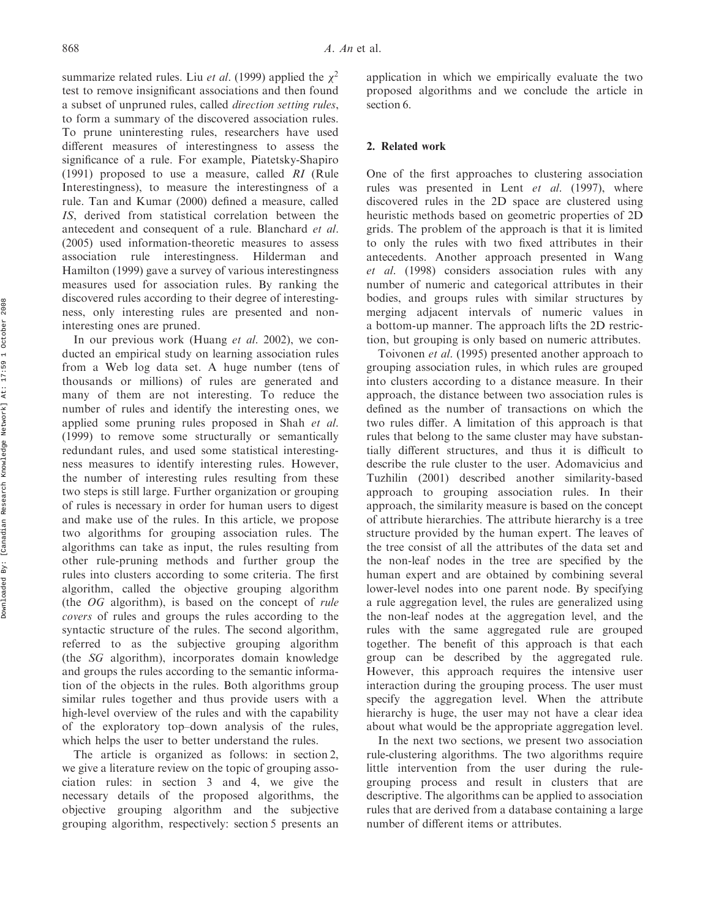summarize related rules. Liu *et al.* (1999) applied the  $\chi^2$ test to remove insignificant associations and then found a subset of unpruned rules, called direction setting rules, to form a summary of the discovered association rules. To prune uninteresting rules, researchers have used different measures of interestingness to assess the significance of a rule. For example, Piatetsky-Shapiro (1991) proposed to use a measure, called RI (Rule Interestingness), to measure the interestingness of a rule. Tan and Kumar (2000) defined a measure, called IS, derived from statistical correlation between the antecedent and consequent of a rule. Blanchard et al. (2005) used information-theoretic measures to assess association rule interestingness. Hilderman and Hamilton (1999) gave a survey of various interestingness measures used for association rules. By ranking the discovered rules according to their degree of interestingness, only interesting rules are presented and noninteresting ones are pruned.

In our previous work (Huang et al. 2002), we conducted an empirical study on learning association rules from a Web log data set. A huge number (tens of thousands or millions) of rules are generated and many of them are not interesting. To reduce the number of rules and identify the interesting ones, we applied some pruning rules proposed in Shah et al. (1999) to remove some structurally or semantically redundant rules, and used some statistical interestingness measures to identify interesting rules. However, the number of interesting rules resulting from these two steps is still large. Further organization or grouping of rules is necessary in order for human users to digest and make use of the rules. In this article, we propose two algorithms for grouping association rules. The algorithms can take as input, the rules resulting from other rule-pruning methods and further group the rules into clusters according to some criteria. The first algorithm, called the objective grouping algorithm (the OG algorithm), is based on the concept of rule covers of rules and groups the rules according to the syntactic structure of the rules. The second algorithm, referred to as the subjective grouping algorithm (the SG algorithm), incorporates domain knowledge and groups the rules according to the semantic information of the objects in the rules. Both algorithms group similar rules together and thus provide users with a high-level overview of the rules and with the capability of the exploratory top–down analysis of the rules, which helps the user to better understand the rules.

The article is organized as follows: in section 2, we give a literature review on the topic of grouping association rules: in section 3 and 4, we give the necessary details of the proposed algorithms, the objective grouping algorithm and the subjective grouping algorithm, respectively: section 5 presents an

application in which we empirically evaluate the two proposed algorithms and we conclude the article in section 6.

## 2. Related work

One of the first approaches to clustering association rules was presented in Lent et al. (1997), where discovered rules in the 2D space are clustered using heuristic methods based on geometric properties of 2D grids. The problem of the approach is that it is limited to only the rules with two fixed attributes in their antecedents. Another approach presented in Wang et al. (1998) considers association rules with any number of numeric and categorical attributes in their bodies, and groups rules with similar structures by merging adjacent intervals of numeric values in a bottom-up manner. The approach lifts the 2D restriction, but grouping is only based on numeric attributes.

Toivonen et al. (1995) presented another approach to grouping association rules, in which rules are grouped into clusters according to a distance measure. In their approach, the distance between two association rules is defined as the number of transactions on which the two rules differ. A limitation of this approach is that rules that belong to the same cluster may have substantially different structures, and thus it is difficult to describe the rule cluster to the user. Adomavicius and Tuzhilin (2001) described another similarity-based approach to grouping association rules. In their approach, the similarity measure is based on the concept of attribute hierarchies. The attribute hierarchy is a tree structure provided by the human expert. The leaves of the tree consist of all the attributes of the data set and the non-leaf nodes in the tree are specified by the human expert and are obtained by combining several lower-level nodes into one parent node. By specifying a rule aggregation level, the rules are generalized using the non-leaf nodes at the aggregation level, and the rules with the same aggregated rule are grouped together. The benefit of this approach is that each group can be described by the aggregated rule. However, this approach requires the intensive user interaction during the grouping process. The user must specify the aggregation level. When the attribute hierarchy is huge, the user may not have a clear idea about what would be the appropriate aggregation level.

In the next two sections, we present two association rule-clustering algorithms. The two algorithms require little intervention from the user during the rulegrouping process and result in clusters that are descriptive. The algorithms can be applied to association rules that are derived from a database containing a large number of different items or attributes.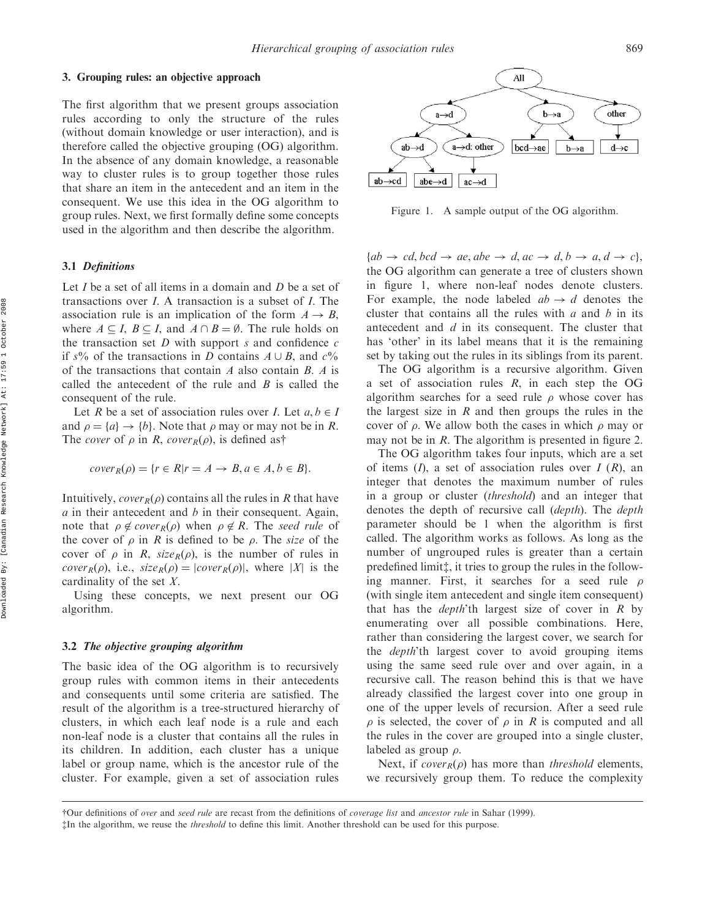## 3. Grouping rules: an objective approach

The first algorithm that we present groups association rules according to only the structure of the rules (without domain knowledge or user interaction), and is therefore called the objective grouping (OG) algorithm. In the absence of any domain knowledge, a reasonable way to cluster rules is to group together those rules that share an item in the antecedent and an item in the consequent. We use this idea in the OG algorithm to group rules. Next, we first formally define some concepts used in the algorithm and then describe the algorithm.

## 3.1 Definitions

Let  $I$  be a set of all items in a domain and  $D$  be a set of transactions over  $I$ . A transaction is a subset of  $I$ . The association rule is an implication of the form  $A \rightarrow B$ , where  $A \subseteq I$ ,  $B \subseteq I$ , and  $A \cap B = \emptyset$ . The rule holds on the transaction set  $D$  with support  $s$  and confidence  $c$ if s% of the transactions in D contains  $A \cup B$ , and  $c\%$ of the transactions that contain  $A$  also contain  $B$ .  $A$  is called the antecedent of the rule and  $B$  is called the consequent of the rule.

Let R be a set of association rules over I. Let  $a, b \in I$ and  $\rho = \{a\} \rightarrow \{b\}$ . Note that  $\rho$  may or may not be in R. The *cover* of  $\rho$  in R, *cover*<sub>R</sub> $(\rho)$ , is defined as†

$$
cover_R(\rho) = \{ r \in R | r = A \rightarrow B, a \in A, b \in B \}.
$$

Intuitively,  $cover_R(\rho)$  contains all the rules in R that have  $a$  in their antecedent and  $b$  in their consequent. Again, note that  $\rho \notin cover_R(\rho)$  when  $\rho \notin R$ . The seed rule of the cover of  $\rho$  in R is defined to be  $\rho$ . The size of the cover of  $\rho$  in R, size<sub>R</sub> $(\rho)$ , is the number of rules in *cover*<sub>R</sub> $(\rho)$ , i.e., *size*<sub>R</sub> $(\rho) = |cover_R(\rho)|$ , where |X| is the cardinality of the set X.

Using these concepts, we next present our OG algorithm.

## 3.2 The objective grouping algorithm

The basic idea of the OG algorithm is to recursively group rules with common items in their antecedents and consequents until some criteria are satisfied. The result of the algorithm is a tree-structured hierarchy of clusters, in which each leaf node is a rule and each non-leaf node is a cluster that contains all the rules in its children. In addition, each cluster has a unique label or group name, which is the ancestor rule of the cluster. For example, given a set of association rules



Figure 1. A sample output of the OG algorithm.

 ${ab \rightarrow cd, bcd \rightarrow ae, abe \rightarrow d, ac \rightarrow d, b \rightarrow a, d \rightarrow c},$ the OG algorithm can generate a tree of clusters shown in figure 1, where non-leaf nodes denote clusters. For example, the node labeled  $ab \rightarrow d$  denotes the cluster that contains all the rules with  $a$  and  $b$  in its antecedent and d in its consequent. The cluster that has 'other' in its label means that it is the remaining set by taking out the rules in its siblings from its parent.

The OG algorithm is a recursive algorithm. Given a set of association rules  $R$ , in each step the OG algorithm searches for a seed rule  $\rho$  whose cover has the largest size in  $R$  and then groups the rules in the cover of  $\rho$ . We allow both the cases in which  $\rho$  may or may not be in R. The algorithm is presented in figure 2.

The OG algorithm takes four inputs, which are a set of items  $(I)$ , a set of association rules over  $I(R)$ , an integer that denotes the maximum number of rules in a group or cluster (threshold) and an integer that denotes the depth of recursive call (depth). The depth parameter should be 1 when the algorithm is first called. The algorithm works as follows. As long as the number of ungrouped rules is greater than a certain predefined limit<sub>1</sub>, it tries to group the rules in the following manner. First, it searches for a seed rule  $\rho$ (with single item antecedent and single item consequent) that has the *depth*'th largest size of cover in  $R$  by enumerating over all possible combinations. Here, rather than considering the largest cover, we search for the *depth*'th largest cover to avoid grouping items using the same seed rule over and over again, in a recursive call. The reason behind this is that we have already classified the largest cover into one group in one of the upper levels of recursion. After a seed rule  $\rho$  is selected, the cover of  $\rho$  in R is computed and all the rules in the cover are grouped into a single cluster, labeled as group  $\rho$ .

Next, if cover<sub>R</sub> $(\rho)$  has more than threshold elements, we recursively group them. To reduce the complexity

 $\ddagger$ In the algorithm, we reuse the *threshold* to define this limit. Another threshold can be used for this purpose.

<sup>{</sup>Our definitions of over and seed rule are recast from the definitions of coverage list and ancestor rule in Sahar (1999).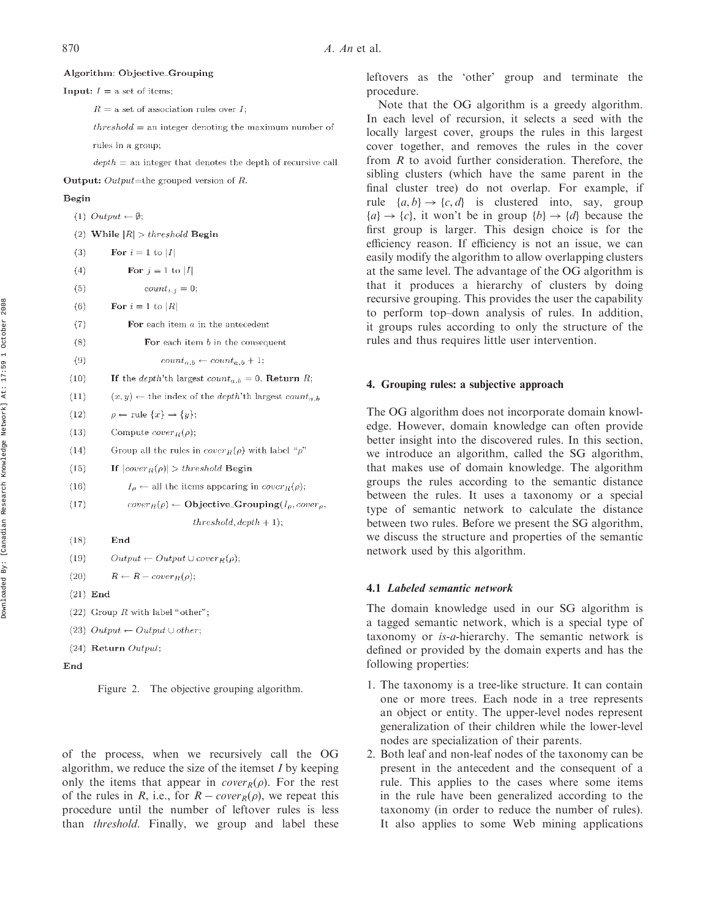## Algorithm: Objective\_Grouping

**Input:**  $I =$  a set of items;

 $R =$  a set of association rules over I:

 $threshold =$  an integer denoting the maximum number of

rules in a group;

 $depth =$  an integer that denotes the depth of recursive call.

**Output:** Output=the grouped version of  $R$ .

#### Begin

|      | $(1)$ Output $\leftarrow \emptyset$ ;                                              |
|------|------------------------------------------------------------------------------------|
|      | (2) While $ R  > threshold$ Begin                                                  |
| (3)  | For $i=1$ to $ I $                                                                 |
| (4)  | For $j = 1$ to $ I $                                                               |
| (5)  | $count_{i,j} = 0;$                                                                 |
| (6)  | For $i = 1$ to $ R $                                                               |
| (7)  | For each item $a$ in the antecedent                                                |
| (8)  | For each item $b$ in the consequent                                                |
| (9)  | $count_{a,b} \leftarrow count_{a,b} + 1;$                                          |
| (10) | If the <i>depth</i> 'th largest $count_{a,b} = 0$ , <b>Return</b> <i>R</i> ;       |
| (11) | $(x, y) \leftarrow$ the index of the <i>depth</i> 'th largest count <sub>a,b</sub> |
| (12) | $\rho \leftarrow \text{rule} \{x\} \rightarrow \{y\};$                             |
| (13) | Compute $cover_R(\rho)$ ;                                                          |
| (14) | Group all the rules in $cover_R(\rho)$ with label "p"                              |
| (15) | If $ cover_R(\rho)  > threshold$ Begin                                             |
| (16) | $I_{\rho} \leftarrow$ all the items appearing in $cover_R(\rho)$ ;                 |
| (17) | $cover_R(\rho) \leftarrow \textbf{Objective\_Grouping}(I_\rho, cover_\rho)$        |
|      | $threshold, depth + 1);$                                                           |
| (18) | End                                                                                |
| (19) | $Output \leftarrow Output \cup cover_R(\rho);$                                     |
| (20) | $R \leftarrow R - cover_R(\rho);$                                                  |
|      | $(21)$ End                                                                         |
|      |                                                                                    |

(22) Group  $R$  with label "other";

(23)  $Output \leftarrow Output \cup other$ :

 $(24)$  Return Output;

End



of the process, when we recursively call the OG algorithm, we reduce the size of the itemset  $I$  by keeping only the items that appear in *cover*<sub> $R$ </sub> $(\rho)$ . For the rest of the rules in R, i.e., for  $R - cover_R(\rho)$ , we repeat this procedure until the number of leftover rules is less than threshold. Finally, we group and label these

leftovers as the 'other' group and terminate the procedure.

Note that the OG algorithm is a greedy algorithm. In each level of recursion, it selects a seed with the locally largest cover, groups the rules in this largest cover together, and removes the rules in the cover from  $R$  to avoid further consideration. Therefore, the sibling clusters (which have the same parent in the final cluster tree) do not overlap. For example, if rule  $\{a, b\} \rightarrow \{c, d\}$  is clustered into, say, group  ${a} \rightarrow {c}$ , it won't be in group  ${b} \rightarrow {d}$  because the first group is larger. This design choice is for the efficiency reason. If efficiency is not an issue, we can easily modify the algorithm to allow overlapping clusters at the same level. The advantage of the OG algorithm is that it produces a hierarchy of clusters by doing recursive grouping. This provides the user the capability to perform top–down analysis of rules. In addition, it groups rules according to only the structure of the rules and thus requires little user intervention.

## 4. Grouping rules: a subjective approach

The OG algorithm does not incorporate domain knowledge. However, domain knowledge can often provide better insight into the discovered rules. In this section, we introduce an algorithm, called the SG algorithm, that makes use of domain knowledge. The algorithm groups the rules according to the semantic distance between the rules. It uses a taxonomy or a special type of semantic network to calculate the distance between two rules. Before we present the SG algorithm, we discuss the structure and properties of the semantic network used by this algorithm.

## 4.1 Labeled semantic network

The domain knowledge used in our SG algorithm is a tagged semantic network, which is a special type of taxonomy or is-a-hierarchy. The semantic network is defined or provided by the domain experts and has the following properties:

- 1. The taxonomy is a tree-like structure. It can contain one or more trees. Each node in a tree represents an object or entity. The upper-level nodes represent generalization of their children while the lower-level nodes are specialization of their parents.
- 2. Both leaf and non-leaf nodes of the taxonomy can be present in the antecedent and the consequent of a rule. This applies to the cases where some items in the rule have been generalized according to the taxonomy (in order to reduce the number of rules). It also applies to some Web mining applications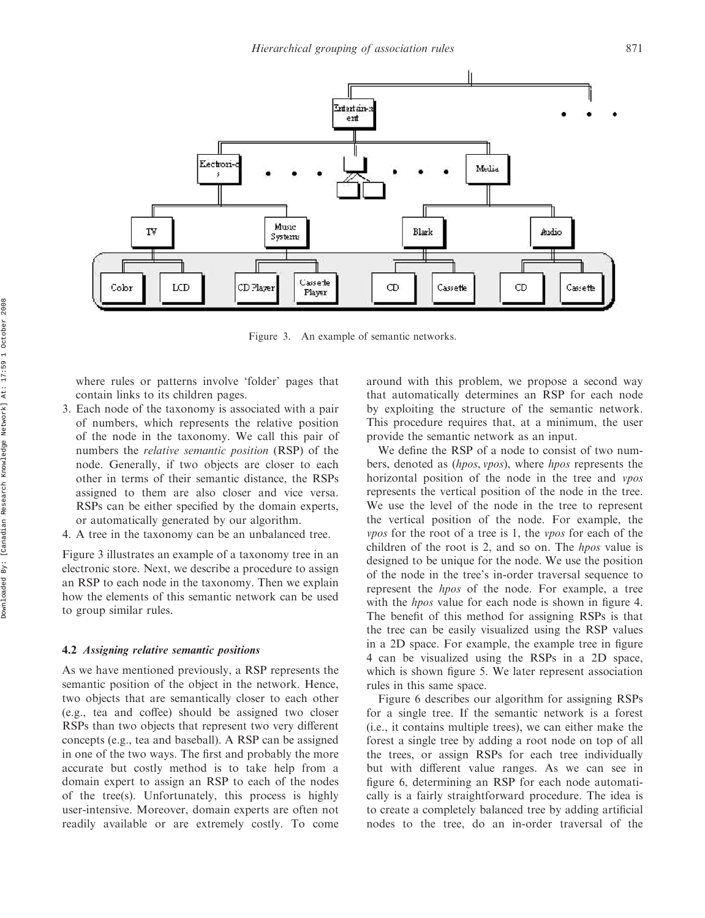

Figure 3. An example of semantic networks.

where rules or patterns involve 'folder' pages that contain links to its children pages.

- 3. Each node of the taxonomy is associated with a pair of numbers, which represents the relative position of the node in the taxonomy. We call this pair of numbers the relative semantic position (RSP) of the node. Generally, if two objects are closer to each other in terms of their semantic distance, the RSPs assigned to them are also closer and vice versa. RSPs can be either specified by the domain experts, or automatically generated by our algorithm.
- 4. A tree in the taxonomy can be an unbalanced tree.

Figure 3 illustrates an example of a taxonomy tree in an electronic store. Next, we describe a procedure to assign an RSP to each node in the taxonomy. Then we explain how the elements of this semantic network can be used to group similar rules.

## 4.2 Assigning relative semantic positions

As we have mentioned previously, a RSP represents the semantic position of the object in the network. Hence, two objects that are semantically closer to each other (e.g., tea and coffee) should be assigned two closer RSPs than two objects that represent two very different concepts (e.g., tea and baseball). A RSP can be assigned in one of the two ways. The first and probably the more accurate but costly method is to take help from a domain expert to assign an RSP to each of the nodes of the tree(s). Unfortunately, this process is highly user-intensive. Moreover, domain experts are often not readily available or are extremely costly. To come around with this problem, we propose a second way that automatically determines an RSP for each node by exploiting the structure of the semantic network. This procedure requires that, at a minimum, the user provide the semantic network as an input.

We define the RSP of a node to consist of two numbers, denoted as (*hpos, vpos*), where *hpos* represents the horizontal position of the node in the tree and vpos represents the vertical position of the node in the tree. We use the level of the node in the tree to represent the vertical position of the node. For example, the vpos for the root of a tree is 1, the vpos for each of the children of the root is 2, and so on. The hpos value is designed to be unique for the node. We use the position of the node in the tree's in-order traversal sequence to represent the hpos of the node. For example, a tree with the *hpos* value for each node is shown in figure 4. The benefit of this method for assigning RSPs is that the tree can be easily visualized using the RSP values in a 2D space. For example, the example tree in figure 4 can be visualized using the RSPs in a 2D space, which is shown figure 5. We later represent association rules in this same space.

Figure 6 describes our algorithm for assigning RSPs for a single tree. If the semantic network is a forest (i.e., it contains multiple trees), we can either make the forest a single tree by adding a root node on top of all the trees, or assign RSPs for each tree individually but with different value ranges. As we can see in figure 6, determining an RSP for each node automatically is a fairly straightforward procedure. The idea is to create a completely balanced tree by adding artificial nodes to the tree, do an in-order traversal of the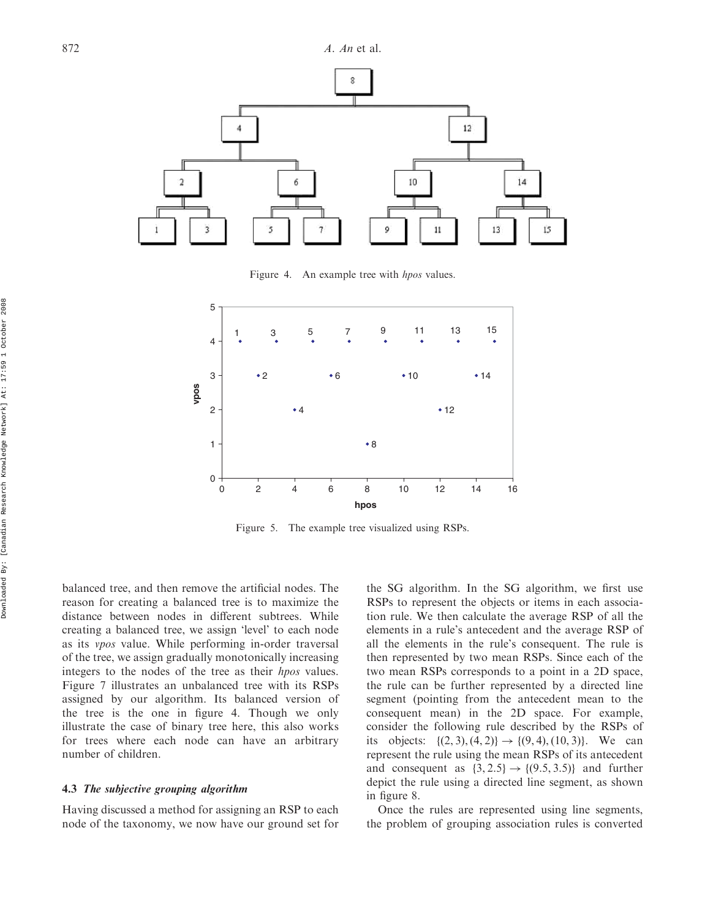

Figure 4. An example tree with *hpos* values.



Figure 5. The example tree visualized using RSPs.

balanced tree, and then remove the artificial nodes. The reason for creating a balanced tree is to maximize the distance between nodes in different subtrees. While creating a balanced tree, we assign 'level' to each node as its vpos value. While performing in-order traversal of the tree, we assign gradually monotonically increasing integers to the nodes of the tree as their hpos values. Figure 7 illustrates an unbalanced tree with its RSPs assigned by our algorithm. Its balanced version of the tree is the one in figure 4. Though we only illustrate the case of binary tree here, this also works for trees where each node can have an arbitrary number of children.

## 4.3 The subjective grouping algorithm

Having discussed a method for assigning an RSP to each node of the taxonomy, we now have our ground set for the SG algorithm. In the SG algorithm, we first use RSPs to represent the objects or items in each association rule. We then calculate the average RSP of all the elements in a rule's antecedent and the average RSP of all the elements in the rule's consequent. The rule is then represented by two mean RSPs. Since each of the two mean RSPs corresponds to a point in a 2D space, the rule can be further represented by a directed line segment (pointing from the antecedent mean to the consequent mean) in the 2D space. For example, consider the following rule described by the RSPs of its objects:  $\{(2, 3), (4, 2)\} \rightarrow \{(9, 4), (10, 3)\}.$  We can represent the rule using the mean RSPs of its antecedent and consequent as  $\{3, 2.5\} \rightarrow \{(9.5, 3.5)\}$  and further depict the rule using a directed line segment, as shown in figure 8.

Once the rules are represented using line segments, the problem of grouping association rules is converted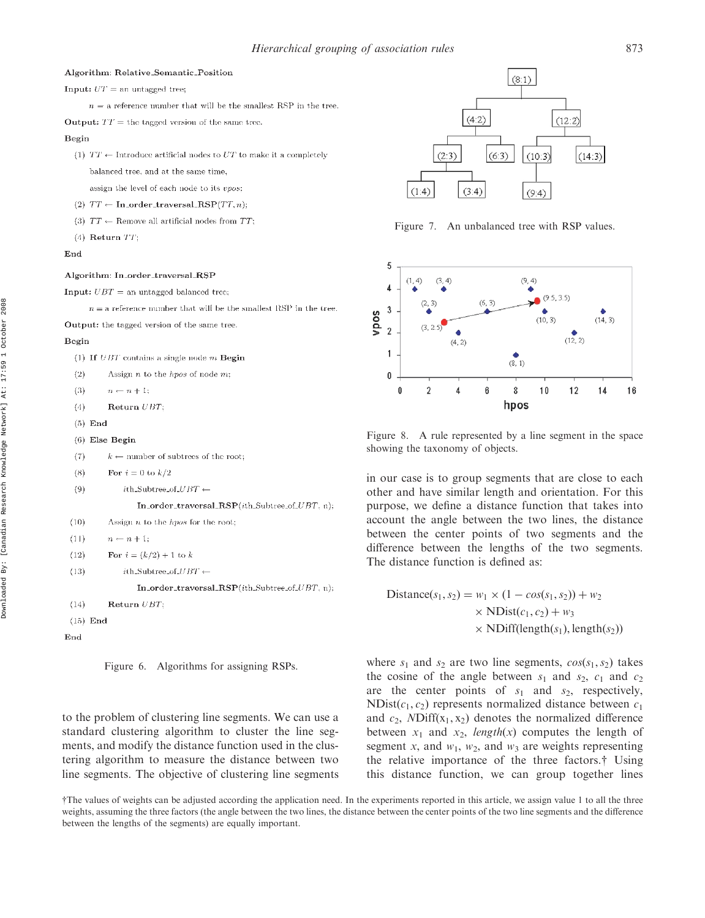#### Algorithm: Relative\_Semantic\_Position

**Input:**  $UT =$  an untagged tree;

 $n = a$  reference number that will be the smallest RSP in the tree.

**Output:**  $TT =$  the tagged version of the same tree.

#### Begin

(1)  $TT \leftarrow$  Introduce artificial nodes to UT to make it a completely balanced tree, and at the same time,

assign the level of each node to its vpos:

- (2)  $TT \leftarrow In-order\_traversal\_RSP(TT, n)$ :
- (3)  $TT \leftarrow$  Remove all artificial nodes from TT;
- $(4)$  Return  $TT$ :

#### End

#### Algorithm: In\_order\_traversal\_RSP

**Input:**  $UBT =$ an untagged balanced tree:

 $n = a$  reference number that will be the smallest RSP in the tree.

Output: the tagged version of the same tree.

#### Begin

|  |  |  | (1) If $UBT$ contains a single node $m$ Begin |  |  |  |  |  |
|--|--|--|-----------------------------------------------|--|--|--|--|--|
|--|--|--|-----------------------------------------------|--|--|--|--|--|

- $(2)$ Assign  $n$  to the *hpos* of node  $m$ :
- $(3)$  $n \leftarrow n + 1$ :
- Return UBT;  $(4)$
- $(5)$  End
- $(6)$  Else Begin
- $(7)$  $k \leftarrow$  number of subtrees of the root;
- $(8)$ For  $i = 0$  to  $k/2$
- $(9)$  $i$ th\_Subtree\_of\_ $UBT \leftarrow$

In\_order\_traversal\_RSP(ith\_Subtree\_of\_UBT, n);

```
(10)Assign n to the hpos for the root;
```

```
(11)n \leftarrow n + 1;
```

```
(12)For i = (k/2) + 1 to k
```

```
(13)i\text{th\_Subtree\_of\_UBT} \gets
```
In\_order\_traversal\_RSP(ith\_Subtree\_of\_ $UBT$ , n);

- Return  $UBT$ :  $(14)$
- $(15)$  End

```
End
```
Figure 6. Algorithms for assigning RSPs.

to the problem of clustering line segments. We can use a standard clustering algorithm to cluster the line segments, and modify the distance function used in the clustering algorithm to measure the distance between two line segments. The objective of clustering line segments



Figure 7. An unbalanced tree with RSP values.



Figure 8. A rule represented by a line segment in the space showing the taxonomy of objects.

in our case is to group segments that are close to each other and have similar length and orientation. For this purpose, we define a distance function that takes into account the angle between the two lines, the distance between the center points of two segments and the difference between the lengths of the two segments. The distance function is defined as:

Distance
$$
(s_1, s_2)
$$
 =  $w_1 \times (1 - cos(s_1, s_2)) + w_2$   
  $\times$  NDist $(c_1, c_2)$  +  $w_3$   
  $\times$  NDiff(length $(s_1)$ , length $(s_2))$ 

where  $s_1$  and  $s_2$  are two line segments,  $cos(s_1, s_2)$  takes the cosine of the angle between  $s_1$  and  $s_2$ ,  $c_1$  and  $c_2$ are the center points of  $s_1$  and  $s_2$ , respectively, NDist $(c_1, c_2)$  represents normalized distance between  $c_1$ and  $c_2$ , NDiff $(x_1, x_2)$  denotes the normalized difference between  $x_1$  and  $x_2$ , length(x) computes the length of segment x, and  $w_1$ ,  $w_2$ , and  $w_3$  are weights representing the relative importance of the three factors.{ Using this distance function, we can group together lines

<sup>{</sup>The values of weights can be adjusted according the application need. In the experiments reported in this article, we assign value 1 to all the three weights, assuming the three factors (the angle between the two lines, the distance between the center points of the two line segments and the difference between the lengths of the segments) are equally important.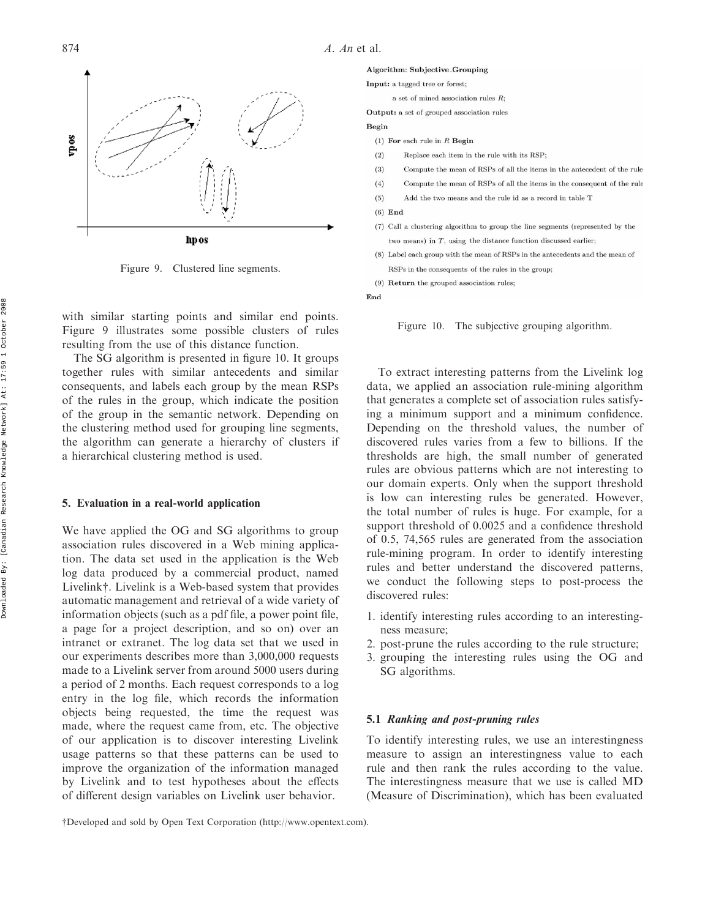

Figure 9. Clustered line segments.

with similar starting points and similar end points. Figure 9 illustrates some possible clusters of rules resulting from the use of this distance function.

The SG algorithm is presented in figure 10. It groups together rules with similar antecedents and similar consequents, and labels each group by the mean RSPs of the rules in the group, which indicate the position of the group in the semantic network. Depending on the clustering method used for grouping line segments, the algorithm can generate a hierarchy of clusters if a hierarchical clustering method is used.

## 5. Evaluation in a real-world application

We have applied the OG and SG algorithms to group association rules discovered in a Web mining application. The data set used in the application is the Web log data produced by a commercial product, named Livelink†. Livelink is a Web-based system that provides automatic management and retrieval of a wide variety of information objects (such as a pdf file, a power point file, a page for a project description, and so on) over an intranet or extranet. The log data set that we used in our experiments describes more than 3,000,000 requests made to a Livelink server from around 5000 users during a period of 2 months. Each request corresponds to a log entry in the log file, which records the information objects being requested, the time the request was made, where the request came from, etc. The objective of our application is to discover interesting Livelink usage patterns so that these patterns can be used to improve the organization of the information managed by Livelink and to test hypotheses about the effects of different design variables on Livelink user behavior.

Input: a tagged tree or forest:

- a set of mined association rules  $R$ :
- **Output:** a set of grouped association rules

#### Begin

- (1) For each rule in  $R$  Begin
- $(2)$ Replace each item in the rule with its RSP:
- Compute the mean of RSPs of all the items in the antecedent of the rule  $(3)$
- Compute the mean of RSPs of all the items in the consequent of the rule  $(4)$
- $(5)$ Add the two means and the rule id as a record in table T
- $(6)$  End
- (7) Call a clustering algorithm to group the line segments (represented by the two means) in  $T$ , using the distance function discussed earlier:
- (8) Label each group with the mean of RSPs in the antecedents and the mean of RSPs in the consequents of the rules in the group;
- (9) Return the grouped association rules:

End

Figure 10. The subjective grouping algorithm.

To extract interesting patterns from the Livelink log data, we applied an association rule-mining algorithm that generates a complete set of association rules satisfying a minimum support and a minimum confidence. Depending on the threshold values, the number of discovered rules varies from a few to billions. If the thresholds are high, the small number of generated rules are obvious patterns which are not interesting to our domain experts. Only when the support threshold is low can interesting rules be generated. However, the total number of rules is huge. For example, for a support threshold of 0.0025 and a confidence threshold of 0.5, 74,565 rules are generated from the association rule-mining program. In order to identify interesting rules and better understand the discovered patterns, we conduct the following steps to post-process the discovered rules:

- 1. identify interesting rules according to an interestingness measure;
- 2. post-prune the rules according to the rule structure;
- 3. grouping the interesting rules using the OG and SG algorithms.

## 5.1 Ranking and post-pruning rules

To identify interesting rules, we use an interestingness measure to assign an interestingness value to each rule and then rank the rules according to the value. The interestingness measure that we use is called MD (Measure of Discrimination), which has been evaluated

{Developed and sold by Open Text Corporation (http://www.opentext.com).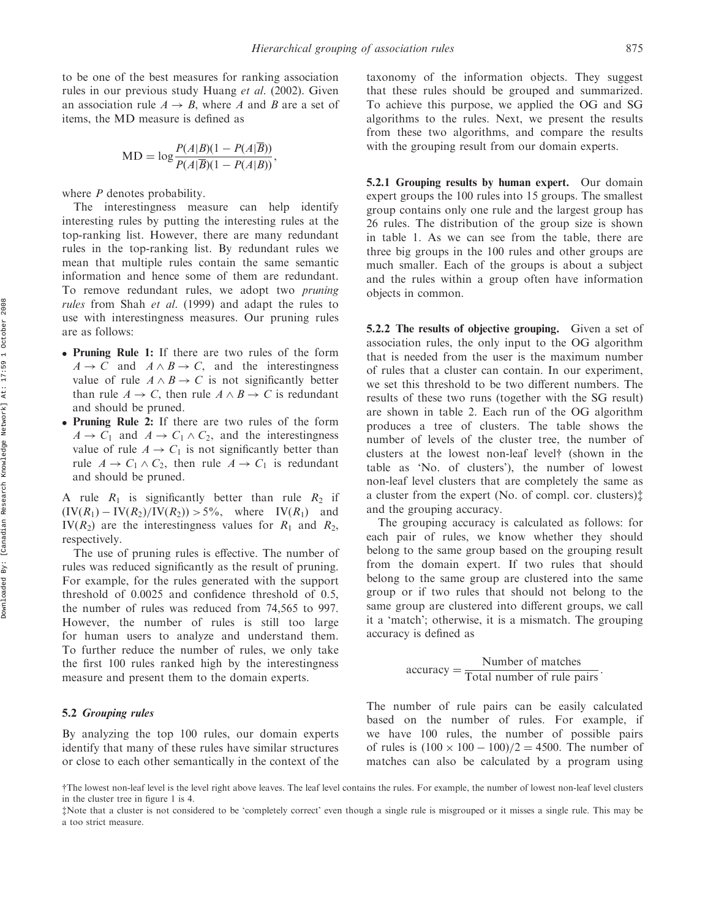to be one of the best measures for ranking association rules in our previous study Huang et al. (2002). Given an association rule  $A \rightarrow B$ , where A and B are a set of items, the MD measure is defined as

$$
MD = \log \frac{P(A|B)(1 - P(A|\overline{B}))}{P(A|\overline{B})(1 - P(A|B))},
$$

where  $P$  denotes probability.

The interestingness measure can help identify interesting rules by putting the interesting rules at the top-ranking list. However, there are many redundant rules in the top-ranking list. By redundant rules we mean that multiple rules contain the same semantic information and hence some of them are redundant. To remove redundant rules, we adopt two pruning rules from Shah et al. (1999) and adapt the rules to use with interestingness measures. Our pruning rules are as follows:

- . Pruning Rule 1: If there are two rules of the form  $A \rightarrow C$  and  $A \wedge B \rightarrow C$ , and the interestingness value of rule  $A \wedge B \rightarrow C$  is not significantly better than rule  $A \rightarrow C$ , then rule  $A \wedge B \rightarrow C$  is redundant and should be pruned.
- . Pruning Rule 2: If there are two rules of the form  $A \rightarrow C_1$  and  $A \rightarrow C_1 \wedge C_2$ , and the interestingness value of rule  $A \rightarrow C_1$  is not significantly better than rule  $A \to C_1 \wedge C_2$ , then rule  $A \to C_1$  is redundant and should be pruned.

A rule  $R_1$  is significantly better than rule  $R_2$  if  $(IV(R_1) - IV(R_2)/IV(R_2)) > 5\%$ , where IV(R<sub>1</sub>) and  $IV(R<sub>2</sub>)$  are the interestingness values for  $R<sub>1</sub>$  and  $R<sub>2</sub>$ , respectively.

The use of pruning rules is effective. The number of rules was reduced significantly as the result of pruning. For example, for the rules generated with the support threshold of 0.0025 and confidence threshold of 0.5, the number of rules was reduced from 74,565 to 997. However, the number of rules is still too large for human users to analyze and understand them. To further reduce the number of rules, we only take the first 100 rules ranked high by the interestingness measure and present them to the domain experts.

## 5.2 Grouping rules

By analyzing the top 100 rules, our domain experts identify that many of these rules have similar structures or close to each other semantically in the context of the taxonomy of the information objects. They suggest that these rules should be grouped and summarized. To achieve this purpose, we applied the OG and SG algorithms to the rules. Next, we present the results from these two algorithms, and compare the results with the grouping result from our domain experts.

**5.2.1 Grouping results by human expert.** Our domain expert groups the 100 rules into 15 groups. The smallest group contains only one rule and the largest group has 26 rules. The distribution of the group size is shown in table 1. As we can see from the table, there are three big groups in the 100 rules and other groups are much smaller. Each of the groups is about a subject and the rules within a group often have information objects in common.

5.2.2 The results of objective grouping. Given a set of association rules, the only input to the OG algorithm that is needed from the user is the maximum number of rules that a cluster can contain. In our experiment, we set this threshold to be two different numbers. The results of these two runs (together with the SG result) are shown in table 2. Each run of the OG algorithm produces a tree of clusters. The table shows the number of levels of the cluster tree, the number of clusters at the lowest non-leaf level<sup>†</sup> (shown in the table as 'No. of clusters'), the number of lowest non-leaf level clusters that are completely the same as a cluster from the expert (No. of compl. cor. clusters) $\ddagger$ and the grouping accuracy.

The grouping accuracy is calculated as follows: for each pair of rules, we know whether they should belong to the same group based on the grouping result from the domain expert. If two rules that should belong to the same group are clustered into the same group or if two rules that should not belong to the same group are clustered into different groups, we call it a 'match'; otherwise, it is a mismatch. The grouping accuracy is defined as

accuracy = 
$$
\frac{\text{Number of matches}}{\text{Total number of rule pairs}}.
$$

The number of rule pairs can be easily calculated based on the number of rules. For example, if we have 100 rules, the number of possible pairs of rules is  $(100 \times 100 - 100)/2 = 4500$ . The number of matches can also be calculated by a program using

<sup>{</sup>The lowest non-leaf level is the level right above leaves. The leaf level contains the rules. For example, the number of lowest non-leaf level clusters in the cluster tree in figure 1 is 4.

zNote that a cluster is not considered to be 'completely correct' even though a single rule is misgrouped or it misses a single rule. This may be a too strict measure.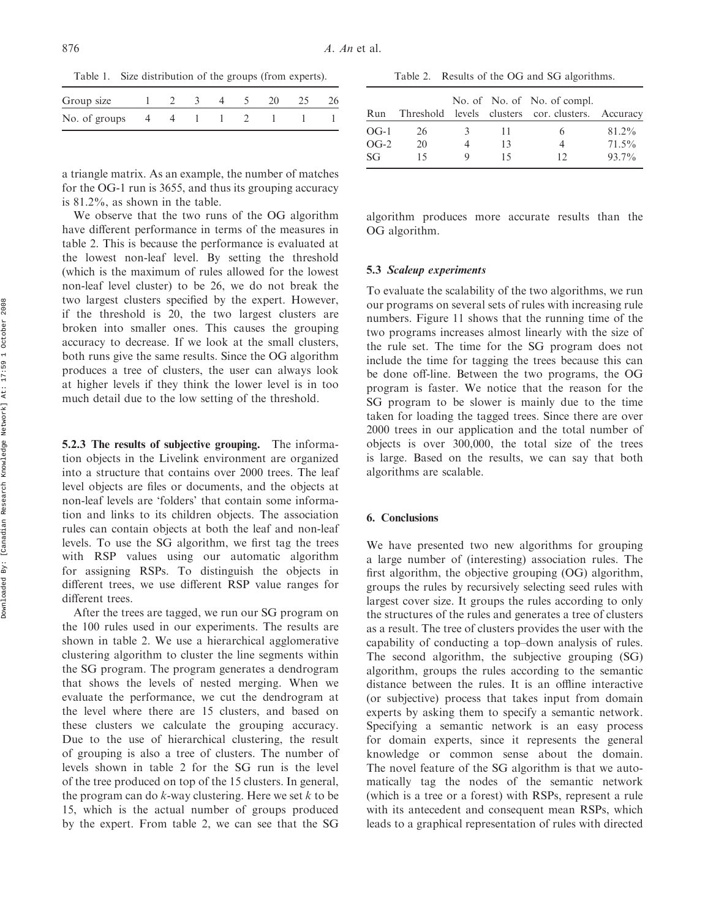Table 1. Size distribution of the groups (from experts).

| Group size              |  | $4 \quad 5$ |  |  |
|-------------------------|--|-------------|--|--|
| No. of groups 4 4 1 1 2 |  |             |  |  |

a triangle matrix. As an example, the number of matches for the OG-1 run is 3655, and thus its grouping accuracy is 81:2%, as shown in the table.

We observe that the two runs of the OG algorithm have different performance in terms of the measures in table 2. This is because the performance is evaluated at the lowest non-leaf level. By setting the threshold (which is the maximum of rules allowed for the lowest non-leaf level cluster) to be 26, we do not break the two largest clusters specified by the expert. However, if the threshold is 20, the two largest clusters are broken into smaller ones. This causes the grouping accuracy to decrease. If we look at the small clusters, both runs give the same results. Since the OG algorithm produces a tree of clusters, the user can always look at higher levels if they think the lower level is in too much detail due to the low setting of the threshold.

5.2.3 The results of subjective grouping. The information objects in the Livelink environment are organized into a structure that contains over 2000 trees. The leaf level objects are files or documents, and the objects at non-leaf levels are 'folders' that contain some information and links to its children objects. The association rules can contain objects at both the leaf and non-leaf levels. To use the SG algorithm, we first tag the trees with RSP values using our automatic algorithm for assigning RSPs. To distinguish the objects in different trees, we use different RSP value ranges for different trees.

After the trees are tagged, we run our SG program on the 100 rules used in our experiments. The results are shown in table 2. We use a hierarchical agglomerative clustering algorithm to cluster the line segments within the SG program. The program generates a dendrogram that shows the levels of nested merging. When we evaluate the performance, we cut the dendrogram at the level where there are 15 clusters, and based on these clusters we calculate the grouping accuracy. Due to the use of hierarchical clustering, the result of grouping is also a tree of clusters. The number of levels shown in table 2 for the SG run is the level of the tree produced on top of the 15 clusters. In general, the program can do  $k$ -way clustering. Here we set  $k$  to be 15, which is the actual number of groups produced by the expert. From table 2, we can see that the SG

| Run    |     |   |    | No. of No. of No. of compl.<br>Threshold levels clusters cor. clusters. Accuracy |       |
|--------|-----|---|----|----------------------------------------------------------------------------------|-------|
| $OG-1$ | 26. | 3 | 11 |                                                                                  | 81.2% |
| $OG-2$ | 20  |   | 13 |                                                                                  | 71.5% |
| SG     | 15  | Q | 15 |                                                                                  | 93.7% |

Table 2. Results of the OG and SG algorithms.

algorithm produces more accurate results than the OG algorithm.

#### 5.3 Scaleup experiments

To evaluate the scalability of the two algorithms, we run our programs on several sets of rules with increasing rule numbers. Figure 11 shows that the running time of the two programs increases almost linearly with the size of the rule set. The time for the SG program does not include the time for tagging the trees because this can be done off-line. Between the two programs, the OG program is faster. We notice that the reason for the SG program to be slower is mainly due to the time taken for loading the tagged trees. Since there are over 2000 trees in our application and the total number of objects is over 300,000, the total size of the trees is large. Based on the results, we can say that both algorithms are scalable.

## 6. Conclusions

We have presented two new algorithms for grouping a large number of (interesting) association rules. The first algorithm, the objective grouping (OG) algorithm, groups the rules by recursively selecting seed rules with largest cover size. It groups the rules according to only the structures of the rules and generates a tree of clusters as a result. The tree of clusters provides the user with the capability of conducting a top–down analysis of rules. The second algorithm, the subjective grouping (SG) algorithm, groups the rules according to the semantic distance between the rules. It is an offline interactive (or subjective) process that takes input from domain experts by asking them to specify a semantic network. Specifying a semantic network is an easy process for domain experts, since it represents the general knowledge or common sense about the domain. The novel feature of the SG algorithm is that we automatically tag the nodes of the semantic network (which is a tree or a forest) with RSPs, represent a rule with its antecedent and consequent mean RSPs, which leads to a graphical representation of rules with directed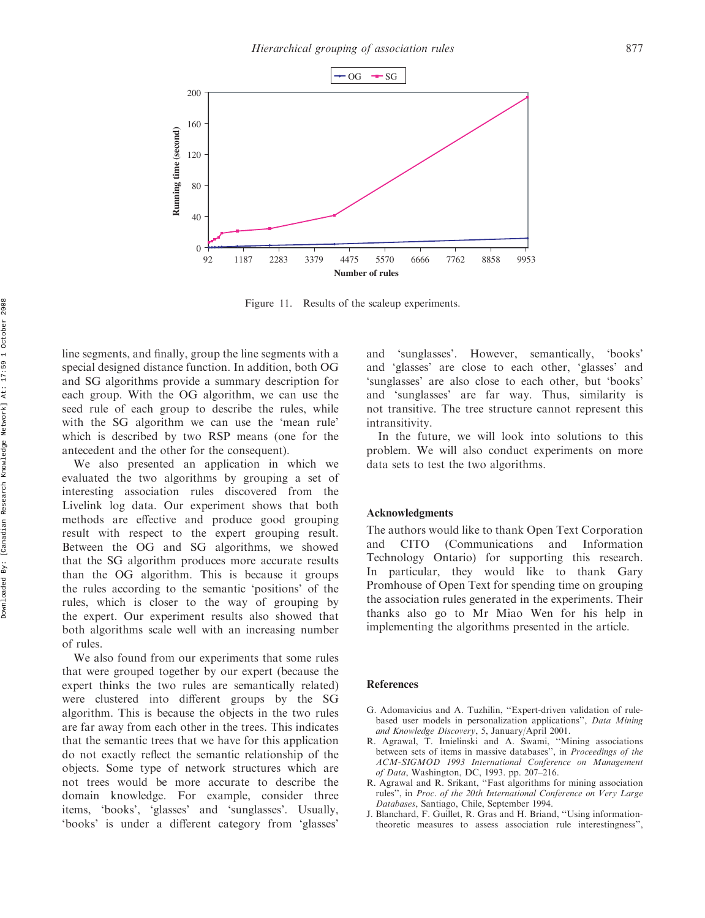

Figure 11. Results of the scaleup experiments.

line segments, and finally, group the line segments with a special designed distance function. In addition, both OG and SG algorithms provide a summary description for each group. With the OG algorithm, we can use the seed rule of each group to describe the rules, while with the SG algorithm we can use the 'mean rule' which is described by two RSP means (one for the antecedent and the other for the consequent).

We also presented an application in which we evaluated the two algorithms by grouping a set of interesting association rules discovered from the Livelink log data. Our experiment shows that both methods are effective and produce good grouping result with respect to the expert grouping result. Between the OG and SG algorithms, we showed that the SG algorithm produces more accurate results than the OG algorithm. This is because it groups the rules according to the semantic 'positions' of the rules, which is closer to the way of grouping by the expert. Our experiment results also showed that both algorithms scale well with an increasing number of rules.

We also found from our experiments that some rules that were grouped together by our expert (because the expert thinks the two rules are semantically related) were clustered into different groups by the SG algorithm. This is because the objects in the two rules are far away from each other in the trees. This indicates that the semantic trees that we have for this application do not exactly reflect the semantic relationship of the objects. Some type of network structures which are not trees would be more accurate to describe the domain knowledge. For example, consider three items, 'books', 'glasses' and 'sunglasses'. Usually, 'books' is under a different category from 'glasses'

and 'sunglasses'. However, semantically, 'books' and 'glasses' are close to each other, 'glasses' and 'sunglasses' are also close to each other, but 'books' and 'sunglasses' are far way. Thus, similarity is not transitive. The tree structure cannot represent this intransitivity.

In the future, we will look into solutions to this problem. We will also conduct experiments on more data sets to test the two algorithms.

## Acknowledgments

The authors would like to thank Open Text Corporation and CITO (Communications and Information Technology Ontario) for supporting this research. In particular, they would like to thank Gary Promhouse of Open Text for spending time on grouping the association rules generated in the experiments. Their thanks also go to Mr Miao Wen for his help in implementing the algorithms presented in the article.

#### References

- G. Adomavicius and A. Tuzhilin, ''Expert-driven validation of rulebased user models in personalization applications'', Data Mining and Knowledge Discovery, 5, January/April 2001.
- R. Agrawal, T. Imielinski and A. Swami, ''Mining associations between sets of items in massive databases'', in Proceedings of the ACM-SIGMOD 1993 International Conference on Management of Data, Washington, DC, 1993. pp. 207–216.
- R. Agrawal and R. Srikant, ''Fast algorithms for mining association rules'', in Proc. of the 20th International Conference on Very Large Databases, Santiago, Chile, September 1994.
- J. Blanchard, F. Guillet, R. Gras and H. Briand, ''Using informationtheoretic measures to assess association rule interestingness'',